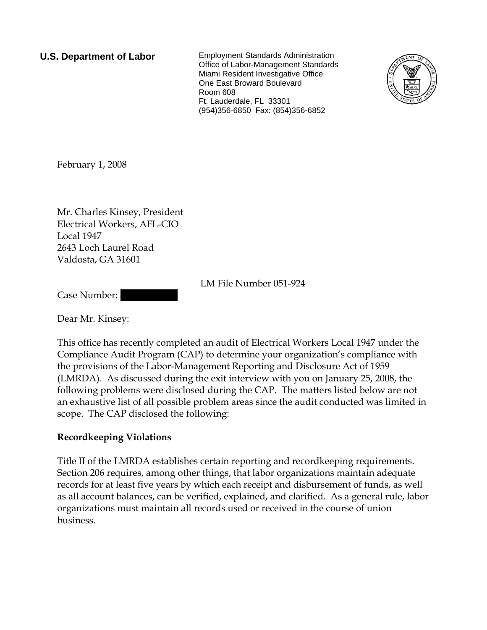**U.S. Department of Labor** Employment Standards Administration Office of Labor-Management Standards Miami Resident Investigative Office One East Broward Boulevard Room 608 Ft. Lauderdale, FL 33301 (954)356-6850 Fax: (854)356-6852



February 1, 2008

Mr. Charles Kinsey, President Electrical Workers, AFL-CIO Local 1947 2643 Loch Laurel Road Valdosta, GA 31601

LM File Number 051-924

Case Number:

Dear Mr. Kinsey:

This office has recently completed an audit of Electrical Workers Local 1947 under the Compliance Audit Program (CAP) to determine your organization's compliance with the provisions of the Labor-Management Reporting and Disclosure Act of 1959 (LMRDA). As discussed during the exit interview with you on January 25, 2008, the following problems were disclosed during the CAP. The matters listed below are not an exhaustive list of all possible problem areas since the audit conducted was limited in scope. The CAP disclosed the following:

## **Recordkeeping Violations**

Title II of the LMRDA establishes certain reporting and recordkeeping requirements. Section 206 requires, among other things, that labor organizations maintain adequate records for at least five years by which each receipt and disbursement of funds, as well as all account balances, can be verified, explained, and clarified. As a general rule, labor organizations must maintain all records used or received in the course of union business.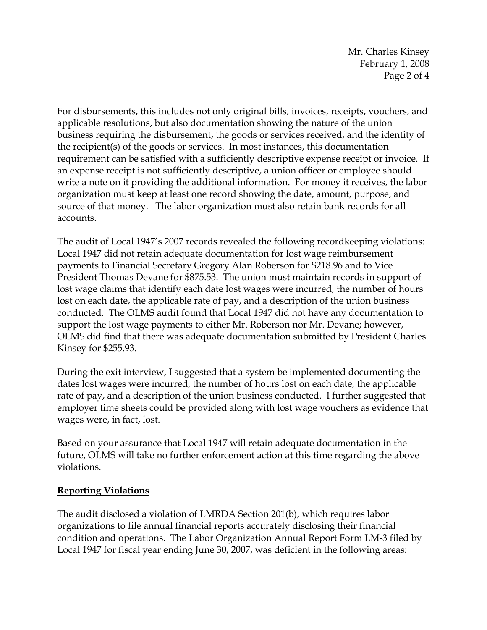Mr. Charles Kinsey February 1, 2008 Page 2 of 4

For disbursements, this includes not only original bills, invoices, receipts, vouchers, and applicable resolutions, but also documentation showing the nature of the union business requiring the disbursement, the goods or services received, and the identity of the recipient(s) of the goods or services. In most instances, this documentation requirement can be satisfied with a sufficiently descriptive expense receipt or invoice. If an expense receipt is not sufficiently descriptive, a union officer or employee should write a note on it providing the additional information. For money it receives, the labor organization must keep at least one record showing the date, amount, purpose, and source of that money. The labor organization must also retain bank records for all accounts.

The audit of Local 1947's 2007 records revealed the following recordkeeping violations: Local 1947 did not retain adequate documentation for lost wage reimbursement payments to Financial Secretary Gregory Alan Roberson for \$218.96 and to Vice President Thomas Devane for \$875.53. The union must maintain records in support of lost wage claims that identify each date lost wages were incurred, the number of hours lost on each date, the applicable rate of pay, and a description of the union business conducted. The OLMS audit found that Local 1947 did not have any documentation to support the lost wage payments to either Mr. Roberson nor Mr. Devane; however, OLMS did find that there was adequate documentation submitted by President Charles Kinsey for \$255.93.

During the exit interview, I suggested that a system be implemented documenting the dates lost wages were incurred, the number of hours lost on each date, the applicable rate of pay, and a description of the union business conducted. I further suggested that employer time sheets could be provided along with lost wage vouchers as evidence that wages were, in fact, lost.

Based on your assurance that Local 1947 will retain adequate documentation in the future, OLMS will take no further enforcement action at this time regarding the above violations.

## **Reporting Violations**

The audit disclosed a violation of LMRDA Section 201(b), which requires labor organizations to file annual financial reports accurately disclosing their financial condition and operations. The Labor Organization Annual Report Form LM-3 filed by Local 1947 for fiscal year ending June 30, 2007, was deficient in the following areas: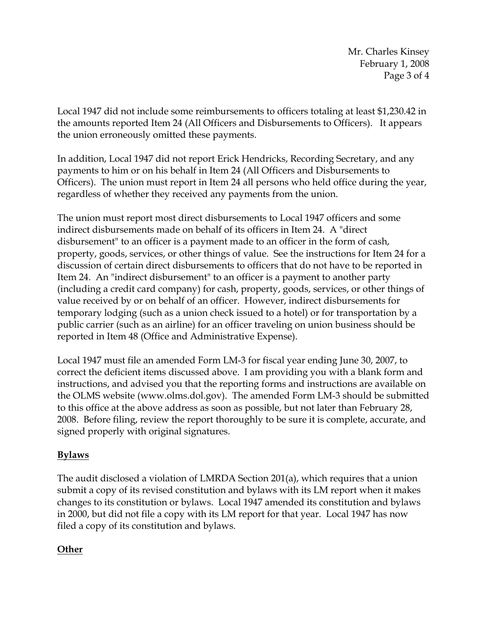Mr. Charles Kinsey February 1, 2008 Page 3 of 4

Local 1947 did not include some reimbursements to officers totaling at least \$1,230.42 in the amounts reported Item 24 (All Officers and Disbursements to Officers). It appears the union erroneously omitted these payments.

In addition, Local 1947 did not report Erick Hendricks, Recording Secretary, and any payments to him or on his behalf in Item 24 (All Officers and Disbursements to Officers). The union must report in Item 24 all persons who held office during the year, regardless of whether they received any payments from the union.

The union must report most direct disbursements to Local 1947 officers and some indirect disbursements made on behalf of its officers in Item 24. A "direct disbursement" to an officer is a payment made to an officer in the form of cash, property, goods, services, or other things of value. See the instructions for Item 24 for a discussion of certain direct disbursements to officers that do not have to be reported in Item 24. An "indirect disbursement" to an officer is a payment to another party (including a credit card company) for cash, property, goods, services, or other things of value received by or on behalf of an officer. However, indirect disbursements for temporary lodging (such as a union check issued to a hotel) or for transportation by a public carrier (such as an airline) for an officer traveling on union business should be reported in Item 48 (Office and Administrative Expense).

Local 1947 must file an amended Form LM-3 for fiscal year ending June 30, 2007, to correct the deficient items discussed above. I am providing you with a blank form and instructions, and advised you that the reporting forms and instructions are available on the OLMS website (www.olms.dol.gov). The amended Form LM-3 should be submitted to this office at the above address as soon as possible, but not later than February 28, 2008. Before filing, review the report thoroughly to be sure it is complete, accurate, and signed properly with original signatures.

# **Bylaws**

The audit disclosed a violation of LMRDA Section 201(a), which requires that a union submit a copy of its revised constitution and bylaws with its LM report when it makes changes to its constitution or bylaws. Local 1947 amended its constitution and bylaws in 2000, but did not file a copy with its LM report for that year. Local 1947 has now filed a copy of its constitution and bylaws.

# **Other**